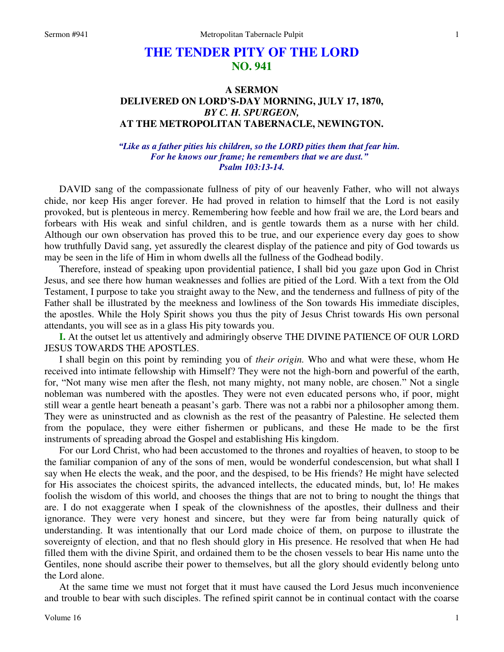## **THE TENDER PITY OF THE LORD NO. 941**

## **A SERMON DELIVERED ON LORD'S-DAY MORNING, JULY 17, 1870,**  *BY C. H. SPURGEON,*  **AT THE METROPOLITAN TABERNACLE, NEWINGTON.**

*"Like as a father pities his children, so the LORD pities them that fear him. For he knows our frame; he remembers that we are dust." Psalm 103:13-14.* 

DAVID sang of the compassionate fullness of pity of our heavenly Father, who will not always chide, nor keep His anger forever. He had proved in relation to himself that the Lord is not easily provoked, but is plenteous in mercy. Remembering how feeble and how frail we are, the Lord bears and forbears with His weak and sinful children, and is gentle towards them as a nurse with her child. Although our own observation has proved this to be true, and our experience every day goes to show how truthfully David sang, yet assuredly the clearest display of the patience and pity of God towards us may be seen in the life of Him in whom dwells all the fullness of the Godhead bodily.

Therefore, instead of speaking upon providential patience, I shall bid you gaze upon God in Christ Jesus, and see there how human weaknesses and follies are pitied of the Lord. With a text from the Old Testament, I purpose to take you straight away to the New, and the tenderness and fullness of pity of the Father shall be illustrated by the meekness and lowliness of the Son towards His immediate disciples, the apostles. While the Holy Spirit shows you thus the pity of Jesus Christ towards His own personal attendants, you will see as in a glass His pity towards you.

**I.** At the outset let us attentively and admiringly observe THE DIVINE PATIENCE OF OUR LORD JESUS TOWARDS THE APOSTLES.

I shall begin on this point by reminding you of *their origin.* Who and what were these, whom He received into intimate fellowship with Himself? They were not the high-born and powerful of the earth, for, "Not many wise men after the flesh, not many mighty, not many noble, are chosen." Not a single nobleman was numbered with the apostles. They were not even educated persons who, if poor, might still wear a gentle heart beneath a peasant's garb. There was not a rabbi nor a philosopher among them. They were as uninstructed and as clownish as the rest of the peasantry of Palestine. He selected them from the populace, they were either fishermen or publicans, and these He made to be the first instruments of spreading abroad the Gospel and establishing His kingdom.

For our Lord Christ, who had been accustomed to the thrones and royalties of heaven, to stoop to be the familiar companion of any of the sons of men, would be wonderful condescension, but what shall I say when He elects the weak, and the poor, and the despised, to be His friends? He might have selected for His associates the choicest spirits, the advanced intellects, the educated minds, but, lo! He makes foolish the wisdom of this world, and chooses the things that are not to bring to nought the things that are. I do not exaggerate when I speak of the clownishness of the apostles, their dullness and their ignorance. They were very honest and sincere, but they were far from being naturally quick of understanding. It was intentionally that our Lord made choice of them, on purpose to illustrate the sovereignty of election, and that no flesh should glory in His presence. He resolved that when He had filled them with the divine Spirit, and ordained them to be the chosen vessels to bear His name unto the Gentiles, none should ascribe their power to themselves, but all the glory should evidently belong unto the Lord alone.

At the same time we must not forget that it must have caused the Lord Jesus much inconvenience and trouble to bear with such disciples. The refined spirit cannot be in continual contact with the coarse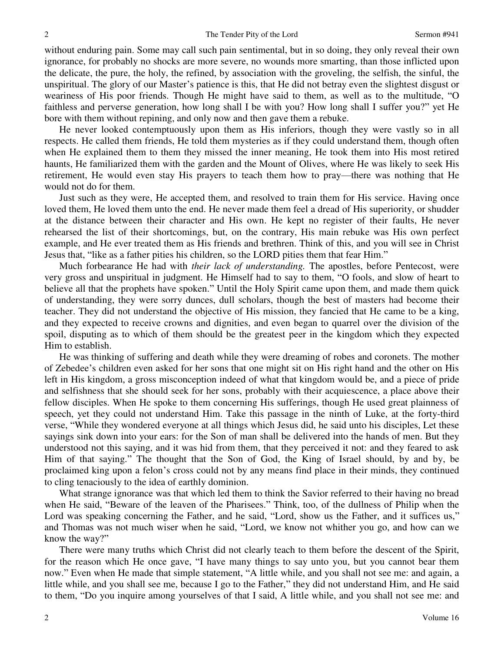without enduring pain. Some may call such pain sentimental, but in so doing, they only reveal their own ignorance, for probably no shocks are more severe, no wounds more smarting, than those inflicted upon the delicate, the pure, the holy, the refined, by association with the groveling, the selfish, the sinful, the unspiritual. The glory of our Master's patience is this, that He did not betray even the slightest disgust or weariness of His poor friends. Though He might have said to them, as well as to the multitude, "O faithless and perverse generation, how long shall I be with you? How long shall I suffer you?" yet He bore with them without repining, and only now and then gave them a rebuke.

He never looked contemptuously upon them as His inferiors, though they were vastly so in all respects. He called them friends, He told them mysteries as if they could understand them, though often when He explained them to them they missed the inner meaning, He took them into His most retired haunts, He familiarized them with the garden and the Mount of Olives, where He was likely to seek His retirement, He would even stay His prayers to teach them how to pray—there was nothing that He would not do for them.

Just such as they were, He accepted them, and resolved to train them for His service. Having once loved them, He loved them unto the end. He never made them feel a dread of His superiority, or shudder at the distance between their character and His own. He kept no register of their faults, He never rehearsed the list of their shortcomings, but, on the contrary, His main rebuke was His own perfect example, and He ever treated them as His friends and brethren. Think of this, and you will see in Christ Jesus that, "like as a father pities his children, so the LORD pities them that fear Him."

Much forbearance He had with *their lack of understanding.* The apostles, before Pentecost, were very gross and unspiritual in judgment. He Himself had to say to them, "O fools, and slow of heart to believe all that the prophets have spoken." Until the Holy Spirit came upon them, and made them quick of understanding, they were sorry dunces, dull scholars, though the best of masters had become their teacher. They did not understand the objective of His mission, they fancied that He came to be a king, and they expected to receive crowns and dignities, and even began to quarrel over the division of the spoil, disputing as to which of them should be the greatest peer in the kingdom which they expected Him to establish.

He was thinking of suffering and death while they were dreaming of robes and coronets. The mother of Zebedee's children even asked for her sons that one might sit on His right hand and the other on His left in His kingdom, a gross misconception indeed of what that kingdom would be, and a piece of pride and selfishness that she should seek for her sons, probably with their acquiescence, a place above their fellow disciples. When He spoke to them concerning His sufferings, though He used great plainness of speech, yet they could not understand Him. Take this passage in the ninth of Luke, at the forty-third verse, "While they wondered everyone at all things which Jesus did, he said unto his disciples, Let these sayings sink down into your ears: for the Son of man shall be delivered into the hands of men. But they understood not this saying, and it was hid from them, that they perceived it not: and they feared to ask Him of that saying." The thought that the Son of God, the King of Israel should, by and by, be proclaimed king upon a felon's cross could not by any means find place in their minds, they continued to cling tenaciously to the idea of earthly dominion.

What strange ignorance was that which led them to think the Savior referred to their having no bread when He said, "Beware of the leaven of the Pharisees." Think, too, of the dullness of Philip when the Lord was speaking concerning the Father, and he said, "Lord, show us the Father, and it suffices us," and Thomas was not much wiser when he said, "Lord, we know not whither you go, and how can we know the way?"

There were many truths which Christ did not clearly teach to them before the descent of the Spirit, for the reason which He once gave, "I have many things to say unto you, but you cannot bear them now." Even when He made that simple statement, "A little while, and you shall not see me: and again, a little while, and you shall see me, because I go to the Father," they did not understand Him, and He said to them, "Do you inquire among yourselves of that I said, A little while, and you shall not see me: and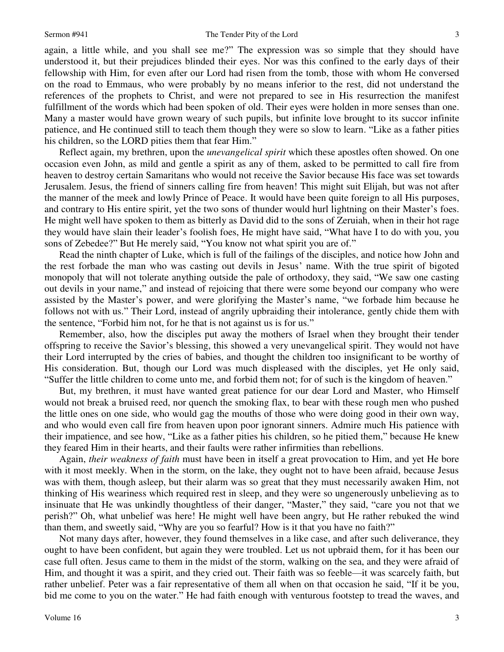again, a little while, and you shall see me?" The expression was so simple that they should have understood it, but their prejudices blinded their eyes. Nor was this confined to the early days of their fellowship with Him, for even after our Lord had risen from the tomb, those with whom He conversed on the road to Emmaus, who were probably by no means inferior to the rest, did not understand the references of the prophets to Christ, and were not prepared to see in His resurrection the manifest fulfillment of the words which had been spoken of old. Their eyes were holden in more senses than one. Many a master would have grown weary of such pupils, but infinite love brought to its succor infinite patience, and He continued still to teach them though they were so slow to learn. "Like as a father pities his children, so the LORD pities them that fear Him."

Reflect again, my brethren, upon the *unevangelical spirit* which these apostles often showed. On one occasion even John, as mild and gentle a spirit as any of them, asked to be permitted to call fire from heaven to destroy certain Samaritans who would not receive the Savior because His face was set towards Jerusalem. Jesus, the friend of sinners calling fire from heaven! This might suit Elijah, but was not after the manner of the meek and lowly Prince of Peace. It would have been quite foreign to all His purposes, and contrary to His entire spirit, yet the two sons of thunder would hurl lightning on their Master's foes. He might well have spoken to them as bitterly as David did to the sons of Zeruiah, when in their hot rage they would have slain their leader's foolish foes, He might have said, "What have I to do with you, you sons of Zebedee?" But He merely said, "You know not what spirit you are of."

Read the ninth chapter of Luke, which is full of the failings of the disciples, and notice how John and the rest forbade the man who was casting out devils in Jesus' name. With the true spirit of bigoted monopoly that will not tolerate anything outside the pale of orthodoxy, they said, "We saw one casting out devils in your name," and instead of rejoicing that there were some beyond our company who were assisted by the Master's power, and were glorifying the Master's name, "we forbade him because he follows not with us." Their Lord, instead of angrily upbraiding their intolerance, gently chide them with the sentence, "Forbid him not, for he that is not against us is for us."

Remember, also, how the disciples put away the mothers of Israel when they brought their tender offspring to receive the Savior's blessing, this showed a very unevangelical spirit. They would not have their Lord interrupted by the cries of babies, and thought the children too insignificant to be worthy of His consideration. But, though our Lord was much displeased with the disciples, yet He only said, "Suffer the little children to come unto me, and forbid them not; for of such is the kingdom of heaven."

But, my brethren, it must have wanted great patience for our dear Lord and Master, who Himself would not break a bruised reed, nor quench the smoking flax, to bear with these rough men who pushed the little ones on one side, who would gag the mouths of those who were doing good in their own way, and who would even call fire from heaven upon poor ignorant sinners. Admire much His patience with their impatience, and see how, "Like as a father pities his children, so he pitied them," because He knew they feared Him in their hearts, and their faults were rather infirmities than rebellions.

Again, *their weakness of faith* must have been in itself a great provocation to Him, and yet He bore with it most meekly. When in the storm, on the lake, they ought not to have been afraid, because Jesus was with them, though asleep, but their alarm was so great that they must necessarily awaken Him, not thinking of His weariness which required rest in sleep, and they were so ungenerously unbelieving as to insinuate that He was unkindly thoughtless of their danger, "Master," they said, "care you not that we perish?" Oh, what unbelief was here! He might well have been angry, but He rather rebuked the wind than them, and sweetly said, "Why are you so fearful? How is it that you have no faith?"

Not many days after, however, they found themselves in a like case, and after such deliverance, they ought to have been confident, but again they were troubled. Let us not upbraid them, for it has been our case full often. Jesus came to them in the midst of the storm, walking on the sea, and they were afraid of Him, and thought it was a spirit, and they cried out. Their faith was so feeble—it was scarcely faith, but rather unbelief. Peter was a fair representative of them all when on that occasion he said, "If it be you, bid me come to you on the water." He had faith enough with venturous footstep to tread the waves, and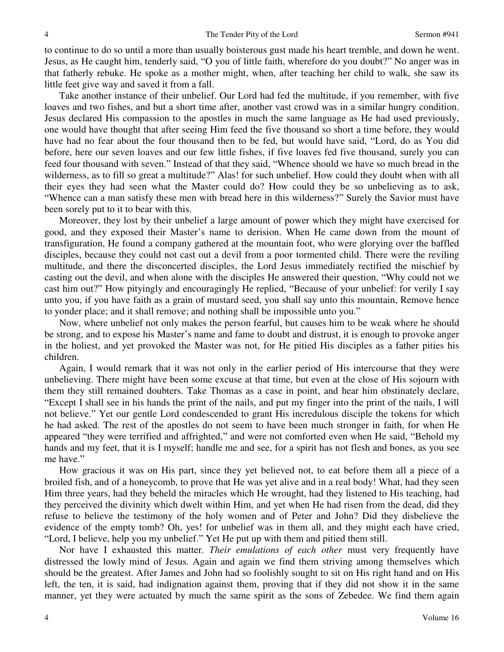to continue to do so until a more than usually boisterous gust made his heart tremble, and down he went. Jesus, as He caught him, tenderly said, "O you of little faith, wherefore do you doubt?" No anger was in that fatherly rebuke. He spoke as a mother might, when, after teaching her child to walk, she saw its little feet give way and saved it from a fall.

Take another instance of their unbelief. Our Lord had fed the multitude, if you remember, with five loaves and two fishes, and but a short time after, another vast crowd was in a similar hungry condition. Jesus declared His compassion to the apostles in much the same language as He had used previously, one would have thought that after seeing Him feed the five thousand so short a time before, they would have had no fear about the four thousand then to be fed, but would have said, "Lord, do as You did before, here our seven loaves and our few little fishes, if five loaves fed five thousand, surely you can feed four thousand with seven." Instead of that they said, "Whence should we have so much bread in the wilderness, as to fill so great a multitude?" Alas! for such unbelief. How could they doubt when with all their eyes they had seen what the Master could do? How could they be so unbelieving as to ask, "Whence can a man satisfy these men with bread here in this wilderness?" Surely the Savior must have been sorely put to it to bear with this.

Moreover, they lost by their unbelief a large amount of power which they might have exercised for good, and they exposed their Master's name to derision. When He came down from the mount of transfiguration, He found a company gathered at the mountain foot, who were glorying over the baffled disciples, because they could not cast out a devil from a poor tormented child. There were the reviling multitude, and there the disconcerted disciples, the Lord Jesus immediately rectified the mischief by casting out the devil, and when alone with the disciples He answered their question, "Why could not we cast him out?" How pityingly and encouragingly He replied, "Because of your unbelief: for verily I say unto you, if you have faith as a grain of mustard seed, you shall say unto this mountain, Remove hence to yonder place; and it shall remove; and nothing shall be impossible unto you."

Now, where unbelief not only makes the person fearful, but causes him to be weak where he should be strong, and to expose his Master's name and fame to doubt and distrust, it is enough to provoke anger in the holiest, and yet provoked the Master was not, for He pitied His disciples as a father pities his children.

Again, I would remark that it was not only in the earlier period of His intercourse that they were unbelieving. There might have been some excuse at that time, but even at the close of His sojourn with them they still remained doubters. Take Thomas as a case in point, and hear him obstinately declare, "Except I shall see in his hands the print of the nails, and put my finger into the print of the nails, I will not believe." Yet our gentle Lord condescended to grant His incredulous disciple the tokens for which he had asked. The rest of the apostles do not seem to have been much stronger in faith, for when He appeared "they were terrified and affrighted," and were not comforted even when He said, "Behold my hands and my feet, that it is I myself; handle me and see, for a spirit has not flesh and bones, as you see me have."

How gracious it was on His part, since they yet believed not, to eat before them all a piece of a broiled fish, and of a honeycomb, to prove that He was yet alive and in a real body! What, had they seen Him three years, had they beheld the miracles which He wrought, had they listened to His teaching, had they perceived the divinity which dwelt within Him, and yet when He had risen from the dead, did they refuse to believe the testimony of the holy women and of Peter and John? Did they disbelieve the evidence of the empty tomb? Oh, yes! for unbelief was in them all, and they might each have cried, "Lord, I believe, help you my unbelief." Yet He put up with them and pitied them still.

Nor have I exhausted this matter. *Their emulations of each other* must very frequently have distressed the lowly mind of Jesus. Again and again we find them striving among themselves which should be the greatest. After James and John had so foolishly sought to sit on His right hand and on His left, the ten, it is said, had indignation against them, proving that if they did not show it in the same manner, yet they were actuated by much the same spirit as the sons of Zebedee. We find them again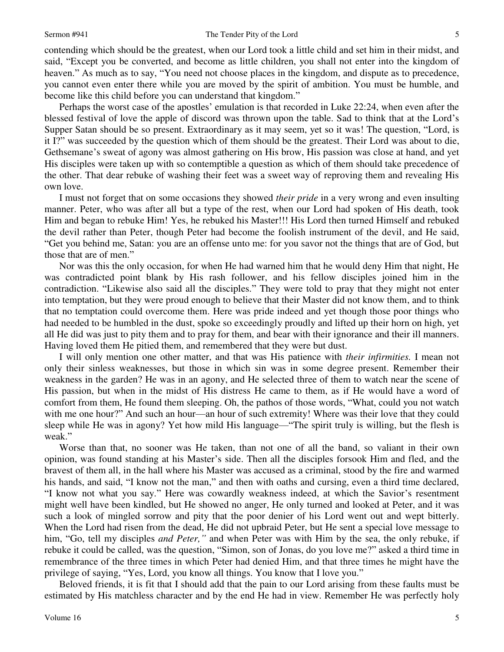5 contending which should be the greatest, when our Lord took a little child and set him in their midst, and

said, "Except you be converted, and become as little children, you shall not enter into the kingdom of heaven." As much as to say, "You need not choose places in the kingdom, and dispute as to precedence, you cannot even enter there while you are moved by the spirit of ambition. You must be humble, and become like this child before you can understand that kingdom."

Perhaps the worst case of the apostles' emulation is that recorded in Luke 22:24, when even after the blessed festival of love the apple of discord was thrown upon the table. Sad to think that at the Lord's Supper Satan should be so present. Extraordinary as it may seem, yet so it was! The question, "Lord, is it I?" was succeeded by the question which of them should be the greatest. Their Lord was about to die, Gethsemane's sweat of agony was almost gathering on His brow, His passion was close at hand, and yet His disciples were taken up with so contemptible a question as which of them should take precedence of the other. That dear rebuke of washing their feet was a sweet way of reproving them and revealing His own love.

I must not forget that on some occasions they showed *their pride* in a very wrong and even insulting manner. Peter, who was after all but a type of the rest, when our Lord had spoken of His death, took Him and began to rebuke Him! Yes, he rebuked his Master!!! His Lord then turned Himself and rebuked the devil rather than Peter, though Peter had become the foolish instrument of the devil, and He said, "Get you behind me, Satan: you are an offense unto me: for you savor not the things that are of God, but those that are of men."

Nor was this the only occasion, for when He had warned him that he would deny Him that night, He was contradicted point blank by His rash follower, and his fellow disciples joined him in the contradiction. "Likewise also said all the disciples." They were told to pray that they might not enter into temptation, but they were proud enough to believe that their Master did not know them, and to think that no temptation could overcome them. Here was pride indeed and yet though those poor things who had needed to be humbled in the dust, spoke so exceedingly proudly and lifted up their horn on high, yet all He did was just to pity them and to pray for them, and bear with their ignorance and their ill manners. Having loved them He pitied them, and remembered that they were but dust.

I will only mention one other matter, and that was His patience with *their infirmities.* I mean not only their sinless weaknesses, but those in which sin was in some degree present. Remember their weakness in the garden? He was in an agony, and He selected three of them to watch near the scene of His passion, but when in the midst of His distress He came to them, as if He would have a word of comfort from them, He found them sleeping. Oh, the pathos of those words, "What, could you not watch with me one hour?" And such an hour—an hour of such extremity! Where was their love that they could sleep while He was in agony? Yet how mild His language—"The spirit truly is willing, but the flesh is weak."

Worse than that, no sooner was He taken, than not one of all the band, so valiant in their own opinion, was found standing at his Master's side. Then all the disciples forsook Him and fled, and the bravest of them all, in the hall where his Master was accused as a criminal, stood by the fire and warmed his hands, and said, "I know not the man," and then with oaths and cursing, even a third time declared, "I know not what you say." Here was cowardly weakness indeed, at which the Savior's resentment might well have been kindled, but He showed no anger, He only turned and looked at Peter, and it was such a look of mingled sorrow and pity that the poor denier of his Lord went out and wept bitterly. When the Lord had risen from the dead, He did not upbraid Peter, but He sent a special love message to him, "Go, tell my disciples *and Peter,"* and when Peter was with Him by the sea, the only rebuke, if rebuke it could be called, was the question, "Simon, son of Jonas, do you love me?" asked a third time in remembrance of the three times in which Peter had denied Him, and that three times he might have the privilege of saying, "Yes, Lord, you know all things. You know that I love you."

Beloved friends, it is fit that I should add that the pain to our Lord arising from these faults must be estimated by His matchless character and by the end He had in view. Remember He was perfectly holy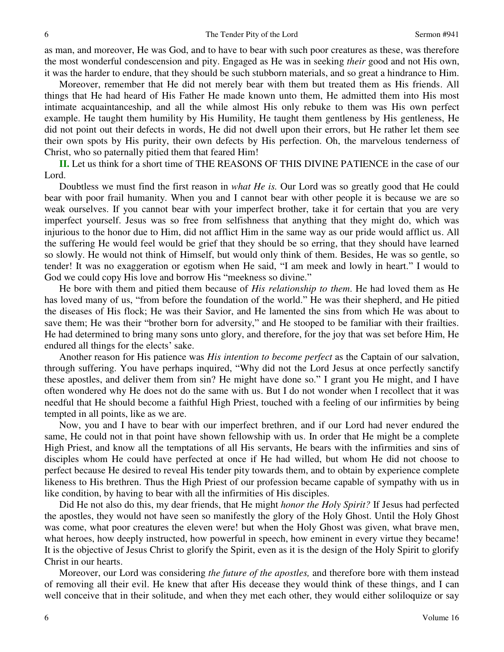as man, and moreover, He was God, and to have to bear with such poor creatures as these, was therefore the most wonderful condescension and pity. Engaged as He was in seeking *their* good and not His own, it was the harder to endure, that they should be such stubborn materials, and so great a hindrance to Him.

Moreover, remember that He did not merely bear with them but treated them as His friends. All things that He had heard of His Father He made known unto them, He admitted them into His most intimate acquaintanceship, and all the while almost His only rebuke to them was His own perfect example. He taught them humility by His Humility, He taught them gentleness by His gentleness, He did not point out their defects in words, He did not dwell upon their errors, but He rather let them see their own spots by His purity, their own defects by His perfection. Oh, the marvelous tenderness of Christ, who so paternally pitied them that feared Him!

**II.** Let us think for a short time of THE REASONS OF THIS DIVINE PATIENCE in the case of our Lord.

Doubtless we must find the first reason in *what He is.* Our Lord was so greatly good that He could bear with poor frail humanity. When you and I cannot bear with other people it is because we are so weak ourselves. If you cannot bear with your imperfect brother, take it for certain that you are very imperfect yourself. Jesus was so free from selfishness that anything that they might do, which was injurious to the honor due to Him, did not afflict Him in the same way as our pride would afflict us. All the suffering He would feel would be grief that they should be so erring, that they should have learned so slowly. He would not think of Himself, but would only think of them. Besides, He was so gentle, so tender! It was no exaggeration or egotism when He said, "I am meek and lowly in heart." I would to God we could copy His love and borrow His "meekness so divine."

He bore with them and pitied them because of *His relationship to them*. He had loved them as He has loved many of us, "from before the foundation of the world." He was their shepherd, and He pitied the diseases of His flock; He was their Savior, and He lamented the sins from which He was about to save them; He was their "brother born for adversity," and He stooped to be familiar with their frailties. He had determined to bring many sons unto glory, and therefore, for the joy that was set before Him, He endured all things for the elects' sake.

Another reason for His patience was *His intention to become perfect* as the Captain of our salvation, through suffering. You have perhaps inquired, "Why did not the Lord Jesus at once perfectly sanctify these apostles, and deliver them from sin? He might have done so." I grant you He might, and I have often wondered why He does not do the same with us. But I do not wonder when I recollect that it was needful that He should become a faithful High Priest, touched with a feeling of our infirmities by being tempted in all points, like as we are.

Now, you and I have to bear with our imperfect brethren, and if our Lord had never endured the same, He could not in that point have shown fellowship with us. In order that He might be a complete High Priest, and know all the temptations of all His servants, He bears with the infirmities and sins of disciples whom He could have perfected at once if He had willed, but whom He did not choose to perfect because He desired to reveal His tender pity towards them, and to obtain by experience complete likeness to His brethren. Thus the High Priest of our profession became capable of sympathy with us in like condition, by having to bear with all the infirmities of His disciples.

Did He not also do this, my dear friends, that He might *honor the Holy Spirit?* If Jesus had perfected the apostles, they would not have seen so manifestly the glory of the Holy Ghost. Until the Holy Ghost was come, what poor creatures the eleven were! but when the Holy Ghost was given, what brave men, what heroes, how deeply instructed, how powerful in speech, how eminent in every virtue they became! It is the objective of Jesus Christ to glorify the Spirit, even as it is the design of the Holy Spirit to glorify Christ in our hearts.

Moreover, our Lord was considering *the future of the apostles,* and therefore bore with them instead of removing all their evil. He knew that after His decease they would think of these things, and I can well conceive that in their solitude, and when they met each other, they would either soliloquize or say

6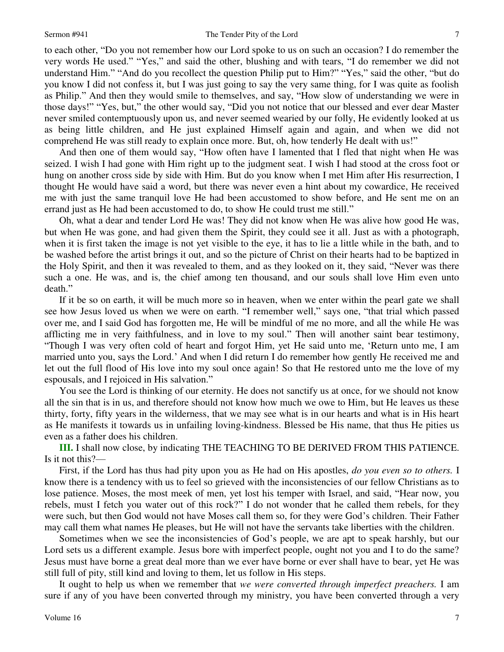to each other, "Do you not remember how our Lord spoke to us on such an occasion? I do remember the very words He used." "Yes," and said the other, blushing and with tears, "I do remember we did not understand Him." "And do you recollect the question Philip put to Him?" "Yes," said the other, "but do you know I did not confess it, but I was just going to say the very same thing, for I was quite as foolish as Philip." And then they would smile to themselves, and say, "How slow of understanding we were in those days!" "Yes, but," the other would say, "Did you not notice that our blessed and ever dear Master never smiled contemptuously upon us, and never seemed wearied by our folly, He evidently looked at us as being little children, and He just explained Himself again and again, and when we did not comprehend He was still ready to explain once more. But, oh, how tenderly He dealt with us!"

And then one of them would say, "How often have I lamented that I fled that night when He was seized. I wish I had gone with Him right up to the judgment seat. I wish I had stood at the cross foot or hung on another cross side by side with Him. But do you know when I met Him after His resurrection, I thought He would have said a word, but there was never even a hint about my cowardice, He received me with just the same tranquil love He had been accustomed to show before, and He sent me on an errand just as He had been accustomed to do, to show He could trust me still."

Oh, what a dear and tender Lord He was! They did not know when He was alive how good He was, but when He was gone, and had given them the Spirit, they could see it all. Just as with a photograph, when it is first taken the image is not yet visible to the eye, it has to lie a little while in the bath, and to be washed before the artist brings it out, and so the picture of Christ on their hearts had to be baptized in the Holy Spirit, and then it was revealed to them, and as they looked on it, they said, "Never was there such a one. He was, and is, the chief among ten thousand, and our souls shall love Him even unto death."

If it be so on earth, it will be much more so in heaven, when we enter within the pearl gate we shall see how Jesus loved us when we were on earth. "I remember well," says one, "that trial which passed over me, and I said God has forgotten me, He will be mindful of me no more, and all the while He was afflicting me in very faithfulness, and in love to my soul." Then will another saint bear testimony, "Though I was very often cold of heart and forgot Him, yet He said unto me, 'Return unto me, I am married unto you, says the Lord.' And when I did return I do remember how gently He received me and let out the full flood of His love into my soul once again! So that He restored unto me the love of my espousals, and I rejoiced in His salvation."

You see the Lord is thinking of our eternity. He does not sanctify us at once, for we should not know all the sin that is in us, and therefore should not know how much we owe to Him, but He leaves us these thirty, forty, fifty years in the wilderness, that we may see what is in our hearts and what is in His heart as He manifests it towards us in unfailing loving-kindness. Blessed be His name, that thus He pities us even as a father does his children.

**III.** I shall now close, by indicating THE TEACHING TO BE DERIVED FROM THIS PATIENCE. Is it not this?—

First, if the Lord has thus had pity upon you as He had on His apostles, *do you even so to others.* I know there is a tendency with us to feel so grieved with the inconsistencies of our fellow Christians as to lose patience. Moses, the most meek of men, yet lost his temper with Israel, and said, "Hear now, you rebels, must I fetch you water out of this rock?" I do not wonder that he called them rebels, for they were such, but then God would not have Moses call them so, for they were God's children. Their Father may call them what names He pleases, but He will not have the servants take liberties with the children.

Sometimes when we see the inconsistencies of God's people, we are apt to speak harshly, but our Lord sets us a different example. Jesus bore with imperfect people, ought not you and I to do the same? Jesus must have borne a great deal more than we ever have borne or ever shall have to bear, yet He was still full of pity, still kind and loving to them, let us follow in His steps.

It ought to help us when we remember that *we were converted through imperfect preachers.* I am sure if any of you have been converted through my ministry, you have been converted through a very

7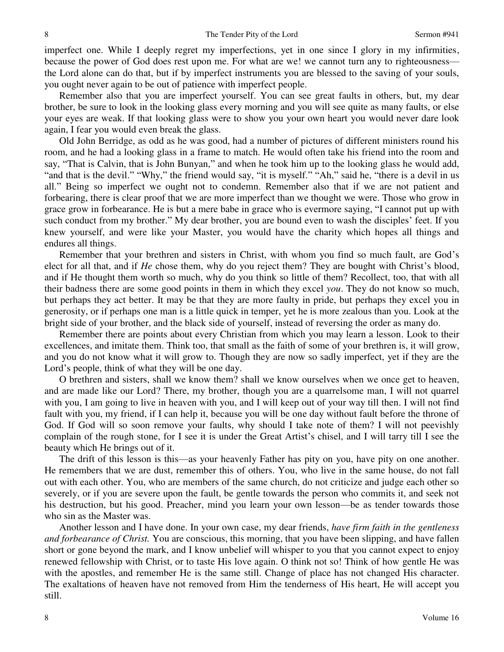imperfect one. While I deeply regret my imperfections, yet in one since I glory in my infirmities, because the power of God does rest upon me. For what are we! we cannot turn any to righteousness the Lord alone can do that, but if by imperfect instruments you are blessed to the saving of your souls, you ought never again to be out of patience with imperfect people.

Remember also that you are imperfect yourself. You can see great faults in others, but, my dear brother, be sure to look in the looking glass every morning and you will see quite as many faults, or else your eyes are weak. If that looking glass were to show you your own heart you would never dare look again, I fear you would even break the glass.

Old John Berridge, as odd as he was good, had a number of pictures of different ministers round his room, and he had a looking glass in a frame to match. He would often take his friend into the room and say, "That is Calvin, that is John Bunyan," and when he took him up to the looking glass he would add, "and that is the devil." "Why," the friend would say, "it is myself." "Ah," said he, "there is a devil in us all." Being so imperfect we ought not to condemn. Remember also that if we are not patient and forbearing, there is clear proof that we are more imperfect than we thought we were. Those who grow in grace grow in forbearance. He is but a mere babe in grace who is evermore saying, "I cannot put up with such conduct from my brother." My dear brother, you are bound even to wash the disciples' feet. If you knew yourself, and were like your Master, you would have the charity which hopes all things and endures all things.

Remember that your brethren and sisters in Christ, with whom you find so much fault, are God's elect for all that, and if *He* chose them, why do you reject them? They are bought with Christ's blood, and if He thought them worth so much, why do you think so little of them? Recollect, too, that with all their badness there are some good points in them in which they excel *you*. They do not know so much, but perhaps they act better. It may be that they are more faulty in pride, but perhaps they excel you in generosity, or if perhaps one man is a little quick in temper, yet he is more zealous than you. Look at the bright side of your brother, and the black side of yourself, instead of reversing the order as many do.

Remember there are points about every Christian from which you may learn a lesson. Look to their excellences, and imitate them. Think too, that small as the faith of some of your brethren is, it will grow, and you do not know what it will grow to. Though they are now so sadly imperfect, yet if they are the Lord's people, think of what they will be one day.

O brethren and sisters, shall we know them? shall we know ourselves when we once get to heaven, and are made like our Lord? There, my brother, though you are a quarrelsome man, I will not quarrel with you, I am going to live in heaven with you, and I will keep out of your way till then. I will not find fault with you, my friend, if I can help it, because you will be one day without fault before the throne of God. If God will so soon remove your faults, why should I take note of them? I will not peevishly complain of the rough stone, for I see it is under the Great Artist's chisel, and I will tarry till I see the beauty which He brings out of it.

The drift of this lesson is this—as your heavenly Father has pity on you, have pity on one another. He remembers that we are dust, remember this of others. You, who live in the same house, do not fall out with each other. You, who are members of the same church, do not criticize and judge each other so severely, or if you are severe upon the fault, be gentle towards the person who commits it, and seek not his destruction, but his good. Preacher, mind you learn your own lesson—be as tender towards those who sin as the Master was.

Another lesson and I have done. In your own case, my dear friends, *have firm faith in the gentleness and forbearance of Christ.* You are conscious, this morning, that you have been slipping, and have fallen short or gone beyond the mark, and I know unbelief will whisper to you that you cannot expect to enjoy renewed fellowship with Christ, or to taste His love again. O think not so! Think of how gentle He was with the apostles, and remember He is the same still. Change of place has not changed His character. The exaltations of heaven have not removed from Him the tenderness of His heart, He will accept you still.